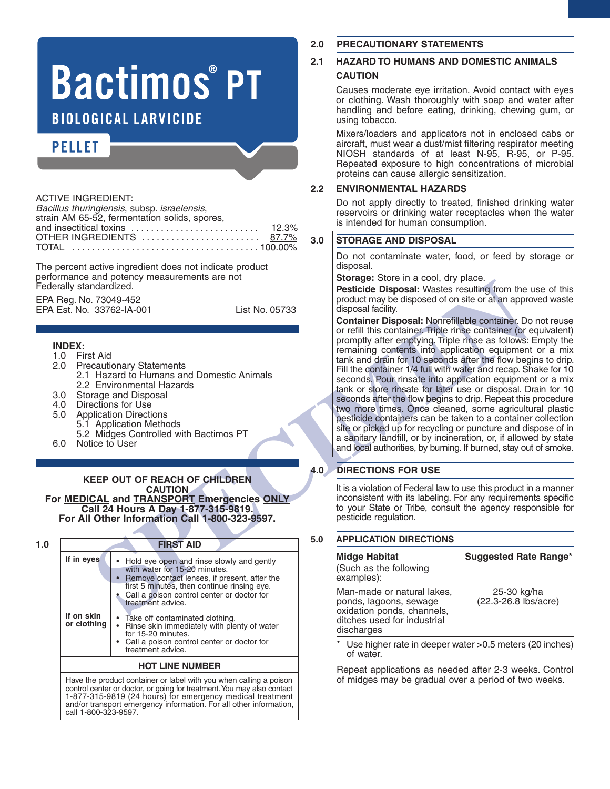# **Bactimos®PT BIOLOGICAL LARVICIDE**

## **PELLET**

| <b>ACTIVE INGREDIENT:</b>                                                        |  |
|----------------------------------------------------------------------------------|--|
| Bacillus thuringiensis, subsp. israelensis,                                      |  |
| strain AM 65-52, fermentation solids, spores,                                    |  |
| and insectitical toxins $\ldots \ldots \ldots \ldots \ldots \ldots \ldots$ 12.3% |  |
| OTHER INGREDIENTS  87.7%                                                         |  |
|                                                                                  |  |
|                                                                                  |  |

The percent active ingredient does not indicate product performance and potency measurements are not Federally standardized.

EPA Reg. No. 73049-452 EPA Est. No. 33762-IA-001 List No. 05733

#### **INDEX:**

- 1.0 First Aid
- **Precautionary Statements** 
	- 2.1 Hazard to Humans and Domestic Animals 2.2 Environmental Hazards
- 3.0 Storage and Disposal<br>4.0 Directions for Use
- 4.0 Directions for Use<br>5.0 Application Directi
- 5.0 Application Directions 5.1 Application Methods
- 5.2 Midges Controlled with Bactimos PT 6.0 Notice to User
- 

### **KEEP OUT OF REACH OF CHILDREN CAUTION For MEDICAL and TRANSPORT Emergencies ONLY Call <sup>24</sup> Hours <sup>A</sup> Day 1-877-315-9819. For All Other Information Call 1-800-323-9597.**

|                           | <b>FIRST AID</b>                                                                                                                                                                                                                                                                |
|---------------------------|---------------------------------------------------------------------------------------------------------------------------------------------------------------------------------------------------------------------------------------------------------------------------------|
| If in eyes                | • Hold eye open and rinse slowly and gently<br>with water for 15-20 minutes.<br>Remove contact lenses, if present, after the<br>first 5 minutes, then continue rinsing eye.<br>Call a poison control center or doctor for<br>treatment advice.                                  |
| If on skin<br>or clothing | • Take off contaminated clothing.<br>• Rinse skin immediately with plenty of water<br>for 15-20 minutes.<br>• Call a poison control center or doctor for<br>treatment advice.                                                                                                   |
|                           | <b>HOT LINE NUMBER</b>                                                                                                                                                                                                                                                          |
| call 1-800-323-9597.      | Have the product container or label with you when calling a poison<br>control center or doctor, or going for treatment. You may also contact<br>1-877-315-9819 (24 hours) for emergency medical treatment<br>and/or transport emergency information. For all other information, |

#### **2.0 PRECAUTIONARY STATEMENTS**

#### **2.1 HAZARD TO HUMANS AND DOMESTIC ANIMALS CAUTION**

Causes moderate eye irritation. Avoid contact with eyes or clothing. Wash thoroughly with soap and water after handling and before eating, drinking, chewing gum, or using tobacco.

Mixers/loaders and applicators not in enclosed cabs or aircraft, must wear a dust/mist filtering respirator meeting NIOSH standards of at least N-95, R-95, or P-95. Repeated exposure to high concentrations of microbial proteins can cause allergic sensitization.

#### **2.2 ENVIRONMENTAL HAZARDS**

Do not apply directly to treated, finished drinking water reservoirs or drinking water receptacles when the water is intended for human consumption.

#### **3.0 STORAGE AND DISPOSAL**

Do not contaminate water, food, or feed by storage or disposal.

**Storage:** Store in a cool, dry place.

**Pesticide Disposal:** Wastes resulting from the use of this product may be disposed of on site or at an approved waste disposal facility.

Martington (1997)<br>
SPECIENCE CONDECTION CHECK CONDENSITY CONDENSITY CONDENSITY CONDENSITY CONDENSITY CONDENSITY CONDENSITY CONDENSITY CONDENSITY CONDENSITY CONDENSITY CONDENSITY CONDENSITY CONDENSITY CONDENSITY CONDENSIT **Container Disposal:** Nonrefillable container. Do not reuse or refill this container. Triple rinse container (or equivalent) promptly after emptying. Triple rinse as follows: Empty the remaining contents into application equipment or a mix tank and drain for 10 seconds after the flow begins to drip. Fill the container 1/4 full with water and recap. Shake for 10 seconds. Pour rinsate into application equipment or a mix tank or store rinsate for later use or disposal. Drain for 10 seconds after the flow begins to drip. Repeat this procedure two more times. Once cleaned, some agricultural plastic pesticide containers can be taken to a container collection site or picked up for recycling or puncture and dispose of in a sanitary landfill, or by incineration, or, if allowed by state and local authorities, by burning. If burned, stay out of smoke.

#### **4.0 DIRECTIONS FOR USE**

It is a violation of Federal law to use this product in a manner inconsistent with its labeling. For any requirements specific to your State or Tribe, consult the agency responsible for pesticide regulation.

#### **5.0 APPLICATION DIRECTIONS**

of water.

| <b>Midge Habitat</b>                                                                                                            | <b>Suggested Rate Range*</b>        |
|---------------------------------------------------------------------------------------------------------------------------------|-------------------------------------|
| (Such as the following<br>examples):                                                                                            |                                     |
| Man-made or natural lakes,<br>ponds, lagoons, sewage<br>oxidation ponds, channels,<br>ditches used for industrial<br>discharges | 25-30 kg/ha<br>(22.3-26.8 lbs/acre) |
| * Use higher rate in deeper water > 0.5 meters (20 inches)                                                                      |                                     |

Repeat applications as needed after 2-3 weeks. Control of midges may be gradual over a period of two weeks.